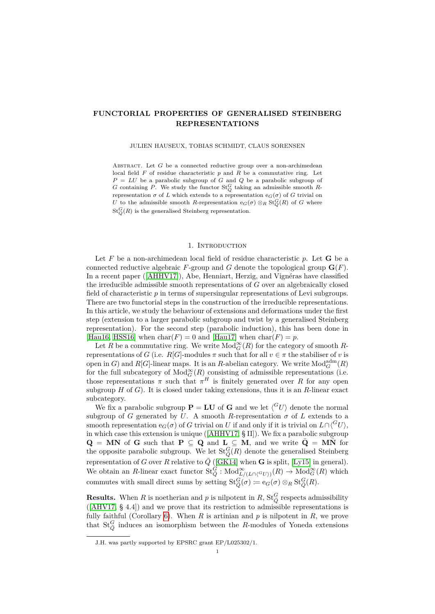# **FUNCTORIAL PROPERTIES OF GENERALISED STEINBERG REPRESENTATIONS**

### JULIEN HAUSEUX, TOBIAS SCHMIDT, CLAUS SORENSEN

ABSTRACT. Let *G* be a connected reductive group over a non-archimedean local field *F* of residue characteristic *p* and *R* be a commutative ring. Let  $P = LU$  be a parabolic subgroup of *G* and *Q* be a parabolic subgroup of *G* containing *P*. We study the functor St*<sup>G</sup> <sup>Q</sup>* taking an admissible smooth *R*representation *σ* of *L* which extends to a representation e*G*(*σ*) of *G* trivial on *U* to the admissible smooth *R*-representation  $e_G(\sigma) \otimes_R \text{St}_Q^G(R)$  of *G* where  $St_Q^G(R)$  is the generalised Steinberg representation.

## 1. INTRODUCTION

Let  $F$  be a non-archimedean local field of residue characteristic  $p$ . Let  $G$  be a connected reductive algebraic *F*-group and *G* denote the topological group  $\mathbf{G}(F)$ . In a recent paper ([\[AHHV17\]](#page-12-0)), Abe, Henniart, Herzig, and Vignéras have classified the irreducible admissible smooth representations of *G* over an algebraically closed field of characteristic *p* in terms of supersingular representations of Levi subgroups. There are two functorial steps in the construction of the irreducible representations. In this article, we study the behaviour of extensions and deformations under the first step (extension to a larger parabolic subgroup and twist by a generalised Steinberg representation). For the second step (parabolic induction), this has been done in [\[Hau16,](#page-12-1) [HSS16\]](#page-12-2) when  $char(F) = 0$  and [\[Hau17\]](#page-12-3) when  $char(F) = p$ .

Let *R* be a commutative ring. We write  $\text{Mod}_{G}^{\infty}(R)$  for the category of smooth *R*representations of *G* (i.e. *R*[*G*]-modules  $\pi$  such that for all  $v \in \pi$  the stabiliser of *v* is open in *G*) and *R*[*G*]-linear maps. It is an *R*-abelian category. We write  $\text{Mod}_G^{\text{adm}}(R)$ for the full subcategory of  $Mod_G^{\infty}(R)$  consisting of admissible representations (i.e. those representations  $\pi$  such that  $\pi^H$  is finitely generated over *R* for any open subgroup *H* of *G*). It is closed under taking extensions, thus it is an *R*-linear exact subcategory.

We fix a parabolic subgroup  $P = LU$  of G and we let  $\langle G_U \rangle$  denote the normal subgroup of *G* generated by *U*. A smooth *R*-representation  $\sigma$  of *L* extends to a smooth representation  $e_G(\sigma)$  of *G* trivial on *U* if and only if it is trivial on  $L \cap \langle ^GU \rangle$ , in which case this extension is unique ([\[AHHV17,](#page-12-0) § II]). We fix a parabolic subgroup  $Q = MN$  of G such that  $P \subseteq Q$  and  $L \subseteq M$ , and we write  $\overline{Q} = MN$  for the opposite parabolic subgroup. We let  $St_Q^G(R)$  denote the generalised Steinberg representation of *G* over *R* relative to  $\bar{Q}$  ([\[GK14\]](#page-12-4) when **G** is split, [\[Ly15\]](#page-12-5) in general). We obtain an *R*-linear exact functor  $\text{St}_{\bar{Q}}^G$ :  $\text{Mod}_{L/(L \cap ({}^G U))}(R) \to \text{Mod}_{G}^{\infty}(R)$  which commutes with small direct sums by setting  $\text{St}_{\bar{Q}}^G(\sigma) \coloneqq e_G(\sigma) \otimes_R \text{St}_{\bar{Q}}^G(R)$ .

**Results.** When *R* is noetherian and *p* is nilpotent in *R*,  $\text{St}_{\bar{Q}}^G$  respects admissibility ([\[AHV17,](#page-12-6) § 4.4]) and we prove that its restriction to admissible representations is fully faithful (Corollary [6\)](#page-4-0). When  $R$  is artinian and  $p$  is nilpotent in  $R$ , we prove that  $St_{\bar{Q}}^G$  induces an isomorphism between the *R*-modules of Yoneda extensions

J.H. was partly supported by EPSRC grant EP/L025302/1.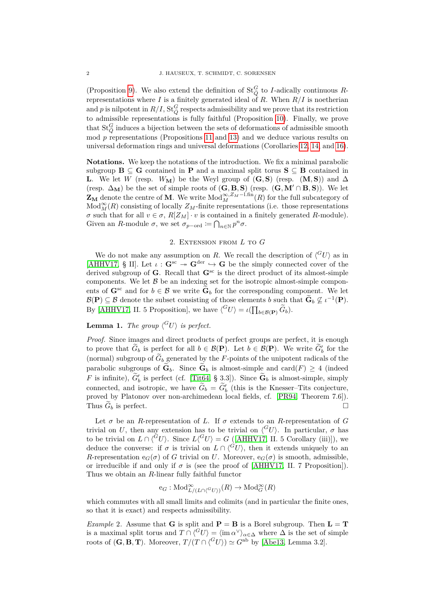(Proposition [9\)](#page-6-0). We also extend the definition of  $St_{\overline{Q}}^G$  to *I*-adically continuous *R*representations where  $I$  is a finitely generated ideal of  $R$ . When  $R/I$  is noetherian and *p* is nilpotent in  $R/I$ ,  $St_Q^G$  respects admissibility and we prove that its restriction to admissible representations is fully faithful (Proposition [10\)](#page-9-0). Finally, we prove that  $St_{\bar{Q}}^G$  induces a bijection between the sets of deformations of admissible smooth mod *p* representations (Propositions [11](#page-9-1) and [13\)](#page-11-0) and we deduce various results on universal deformation rings and universal deformations (Corollaries [12,](#page-11-1) [14,](#page-11-2) and [16\)](#page-12-7).

**Notations.** We keep the notations of the introduction. We fix a minimal parabolic subgroup  $\mathbf{B} \subseteq \mathbf{G}$  contained in  $\mathbf{P}$  and a maximal split torus  $\mathbf{S} \subseteq \mathbf{B}$  contained in **L**. We let *W* (resp. *W***M**) be the Weyl group of  $(G, S)$  (resp.  $(M, S)$ ) and  $\Delta$ (resp.  $\Delta_M$ ) be the set of simple roots of  $(G, B, S)$  (resp.  $(G, M' \cap B, S)$ ). We let  $\mathbf{Z}_{\mathbf{M}}$  denote the centre of **M**. We write  $\text{Mod}_{M}^{\infty, Z_M-\text{l-fin}}(R)$  for the full subcategory of  $Mod_{M}^{\infty}(R)$  consisting of locally  $Z_M$ -finite representations (i.e. those representations *σ* such that for all  $v \in \sigma$ ,  $R[Z_M] \cdot v$  is contained in a finitely generated *R*-module). Given an *R*-module  $\sigma$ , we set  $\sigma_{p-\text{ord}} \coloneqq \bigcap_{n \in \mathbb{N}} p^n \sigma$ .

## 2. Extension from *L* to *G*

We do not make any assumption on *R*. We recall the description of  $\langle G_U \rangle$  as in [\[AHHV17,](#page-12-0) § II]. Let  $\iota$ :  $\mathbf{G}^{\text{sc}} \to \mathbf{G}^{\text{der}} \hookrightarrow \mathbf{G}$  be the simply connected cover of the derived subgroup of **G**. Recall that  $\mathbf{G}^{\text{sc}}$  is the direct product of its almost-simple components. We let  $\beta$  be an indexing set for the isotropic almost-simple components of  $\mathbf{G}^{\text{sc}}$  and for  $b \in \mathcal{B}$  we write  $\widetilde{\mathbf{G}}_b$  for the corresponding component. We let  $\mathcal{B}(\mathbf{P}) \subseteq \mathcal{B}$  denote the subset consisting of those elements *b* such that  $\widetilde{\mathbf{G}}_b \not\subseteq \iota^{-1}(\mathbf{P})$ . By [\[AHHV17,](#page-12-0) II. 5 Proposition], we have  $\langle ^{G}U \rangle = \iota(\prod_{b \in \mathcal{B}(\mathbf{P})} \widetilde{G}_b)$ .

# <span id="page-1-0"></span>**Lemma 1.** The group  $\langle G_U \rangle$  is perfect.

*Proof.* Since images and direct products of perfect groups are perfect, it is enough to prove that  $\tilde{G}_b$  is perfect for all  $b \in \mathcal{B}(\mathbf{P})$ . Let  $b \in \mathcal{B}(\mathbf{P})$ . We write  $\tilde{G}'_b$  for the (normal) subgroup of  $\widetilde{G}_b$  generated by the *F*-points of the unipotent radicals of the parabolic subgroups of  $\tilde{\mathbf{G}}_b$ . Since  $\tilde{\mathbf{G}}_b$  is almost-simple and card $(F) \geq 4$  (indeed *F* is infinite),  $\tilde{G}'_b$  is perfect (cf. [\[Tit64,](#page-13-0) § 3.3]). Since  $\tilde{G}_b$  is almost-simple, simply connected, and isotropic, we have  $\tilde{G}_b = \tilde{G}'_b$  (this is the Knesser–Tits conjecture, proved by Platonov over non-archimedean local fields, cf. [\[PR94,](#page-12-8) Theorem 7.6]). Thus  $\widetilde{G}_b$  is perfect.

Let  $\sigma$  be an *R*-representation of *L*. If  $\sigma$  extends to an *R*-representation of *G* trivial on *U*, then any extension has to be trivial on  $\langle G_U \rangle$ . In particular,  $\sigma$  has to be trivial on  $L \cap \langle^G U \rangle$ . Since  $L \langle^G U \rangle = G$  ([\[AHHV17,](#page-12-0) II. 5 Corollary (iii)]), we deduce the converse: if  $\sigma$  is trivial on  $L \cap \langle G^{\circ} U \rangle$ , then it extends uniquely to an *R*-representation  $e_G(\sigma)$  of *G* trivial on *U*. Moreover,  $e_G(\sigma)$  is smooth, admissible, or irreducible if and only if  $\sigma$  is (see the proof of [\[AHHV17,](#page-12-0) II. 7 Proposition]). Thus we obtain an *R*-linear fully faithful functor

$$
\mathrm{e}_G: \mathrm{Mod}_{L/(L\cap\langle ^GU\rangle)}^{\infty}(R) \rightarrow \mathrm{Mod}_G^{\infty}(R)
$$

which commutes with all small limits and colimits (and in particular the finite ones, so that it is exact) and respects admissibility.

*Example* 2. Assume that **G** is split and  $P = B$  is a Borel subgroup. Then  $L = T$ is a maximal split torus and  $T \cap \langle {}^G U \rangle = \langle \text{im } \alpha^\vee \rangle_{\alpha \in \Delta}$  where  $\Delta$  is the set of simple roots of  $(G, B, T)$ . Moreover,  $T/(T \cap ({}^G U)) \simeq G^{ab}$  by [\[Abe13,](#page-12-9) Lemma 3.2].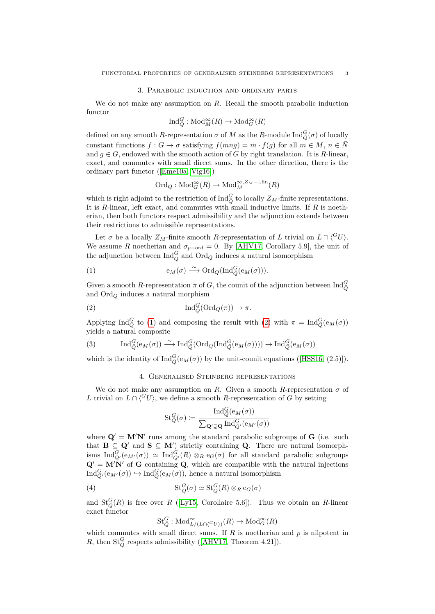## 3. Parabolic induction and ordinary parts

We do not make any assumption on *R*. Recall the smooth parabolic induction functor

$$
\text{Ind}_{\bar{Q}}^G : \text{Mod}_M^{\infty}(R) \to \text{Mod}_G^{\infty}(R)
$$

defined on any smooth *R*-representation  $\sigma$  of *M* as the *R*-module  $\text{Ind}_{\bar{Q}}^G(\sigma)$  of locally constant functions  $f: G \to \sigma$  satisfying  $f(m\bar{n}g) = m \cdot f(g)$  for all  $m \in M$ ,  $\bar{n} \in N$ and  $g \in G$ , endowed with the smooth action of *G* by right translation. It is *R*-linear, exact, and commutes with small direct sums. In the other direction, there is the ordinary part functor ([\[Eme10a,](#page-12-10) [Vig16\]](#page-13-1))

$$
\mathrm{Ord}_Q: \mathrm{Mod}_G^{\infty}(R) \to \mathrm{Mod}_M^{\infty, Z_M - \mathrm{l}.\mathrm{fin}}(R)
$$

which is right adjoint to the restriction of  $\text{Ind}_{\bar{Q}}^G$  to locally  $Z_M$ -finite representations. It is *R*-linear, left exact, and commutes with small inductive limits. If *R* is noetherian, then both functors respect admissibility and the adjunction extends between their restrictions to admissible representations.

Let  $\sigma$  be a locally  $Z_M$ -finite smooth *R*-representation of *L* trivial on  $L \cap \binom{G}{U}$ . We assume *R* noetherian and  $\sigma_{p-{\rm ord}} = 0$ . By [\[AHV17,](#page-12-6) Corollary 5.9], the unit of the adjunction between  $\text{Ind}_{\bar{Q}}^G$  and  $\text{Ord}_Q$  induces a natural isomorphism

<span id="page-2-0"></span>(1) 
$$
\mathsf{e}_M(\sigma) \xrightarrow{\sim} \mathrm{Ord}_Q(\mathrm{Ind}_{\bar{Q}}^G(\mathsf{e}_M(\sigma))).
$$

Given a smooth *R*-representation  $\pi$  of *G*, the counit of the adjunction between  $\text{Ind}_{\bar{Q}}^G$ and Ord*<sup>Q</sup>* induces a natural morphism

(2) 
$$
\operatorname{Ind}_{\overline{Q}}^G(\operatorname{Ord}_Q(\pi)) \to \pi.
$$

Applying  $\text{Ind}_{\bar{Q}}^G$  to [\(1\)](#page-2-0) and composing the result with [\(2\)](#page-2-1) with  $\pi = \text{Ind}_{\bar{Q}}^G(e_M(\sigma))$ yields a natural composite

<span id="page-2-2"></span>(3) 
$$
\operatorname{Ind}_{\bar{Q}}^G(\mathrm{e}_M(\sigma)) \xrightarrow{\sim} \operatorname{Ind}_{\bar{Q}}^G(\operatorname{Ord}_Q(\operatorname{Ind}_{\bar{Q}}^G(\mathrm{e}_M(\sigma)))) \to \operatorname{Ind}_{\bar{Q}}^G(\mathrm{e}_M(\sigma))
$$

which is the identity of  $\text{Ind}_{\bar{Q}}^G(\mathfrak{e}_M(\sigma))$  by the unit-counit equations ([\[HSS16,](#page-12-2) (2.5)]).

## <span id="page-2-1"></span>4. Generalised Steinberg representations

We do not make any assumption on *R*. Given a smooth *R*-representation  $\sigma$  of *L* trivial on  $L \cap {^G U}$ , we define a smooth *R*-representation of *G* by setting

$$
\mathrm{St}_{Q}^G(\sigma) \coloneqq \frac{\mathrm{Ind}_Q^G(\mathrm{e}_M(\sigma))}{\sum_{\mathbf{Q'} \supsetneq \mathbf{Q}} \mathrm{Ind}_{Q'}^G(\mathrm{e}_{M'}(\sigma))}
$$

where  $Q' = M'N'$  runs among the standard parabolic subgroups of  $G$  (i.e. such that **B**  $\subseteq$  **Q'** and **S**  $\subseteq$  **M'**) strictly containing **Q**. There are natural isomorphisms  $\text{Ind}_{\bar{Q}'}^G(\mathbf{e}_{M'}(\sigma)) \simeq \text{Ind}_{\bar{Q}'}^G(R) \otimes_R \mathbf{e}_G(\sigma)$  for all standard parabolic subgroups  $\mathbf{Q}' = \mathbf{M}'\mathbf{N}'$  of **G** containing **Q**, which are compatible with the natural injections  $\text{Ind}_{\bar{Q}}^G(\mathbf{e}_{M'}(\sigma)) \hookrightarrow \text{Ind}_{\bar{Q}}^G(\mathbf{e}_M(\sigma))$ , hence a natural isomorphism

(4) 
$$
\mathrm{St}_{\bar{Q}}^G(\sigma) \simeq \mathrm{St}_{\bar{Q}}^G(R) \otimes_R \mathrm{e}_G(\sigma)
$$

and  $St_{\overline{Q}}^G(R)$  is free over *R* ([\[Ly15,](#page-12-5) Corollaire 5.6]). Thus we obtain an *R*-linear exact functor

<span id="page-2-3"></span>
$$
\mathbf{St}_{\bar{Q}}^G : \mathbf{Mod}_{L/(L\cap\langle ^GU\rangle)}^{\infty}(R) \to \mathbf{Mod}_G^{\infty}(R)
$$

which commutes with small direct sums. If *R* is noetherian and *p* is nilpotent in *R*, then  $\text{St}_{\bar{Q}}^G$  respects admissibility ([\[AHV17,](#page-12-6) Theorem 4.21]).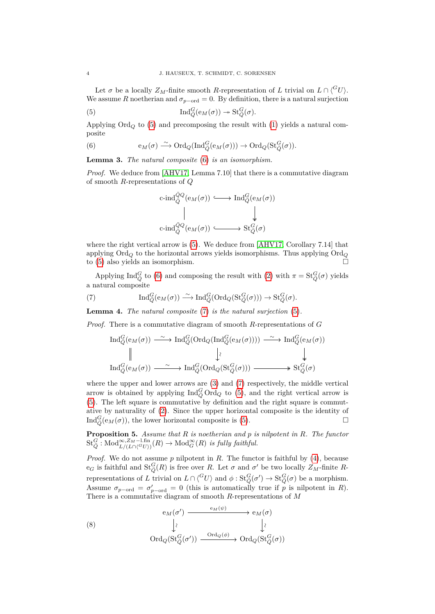Let  $\sigma$  be a locally  $Z_M$ -finite smooth *R*-representation of *L* trivial on  $L \cap {^G}U$ . We assume *R* noetherian and  $\sigma_{p-ord} = 0$ . By definition, there is a natural surjection

(5) 
$$
\operatorname{Ind}_{\bar{Q}}^G(\mathrm{e}_M(\sigma)) \twoheadrightarrow \operatorname{St}_{\bar{Q}}^G(\sigma).
$$

Applying  $\text{Ord}_Q$  to [\(5\)](#page-3-0) and precomposing the result with [\(1\)](#page-2-0) yields a natural composite

<span id="page-3-1"></span>(6) 
$$
\mathsf{e}_M(\sigma) \stackrel{\sim}{\longrightarrow} \mathrm{Ord}_Q(\mathrm{Ind}_{\bar{Q}}^G(\mathsf{e}_M(\sigma))) \to \mathrm{Ord}_Q(\mathrm{St}_{\bar{Q}}^G(\sigma)).
$$

<span id="page-3-3"></span>**Lemma 3.** *The natural composite* [\(6\)](#page-3-1) *is an isomorphism.*

*Proof.* We deduce from [\[AHV17,](#page-12-6) Lemma 7.10] that there is a commutative diagram of smooth *R*-representations of *Q*

<span id="page-3-0"></span>
$$
\begin{array}{ccc}\n\text{c-ind}_{\bar{Q}}^{\bar{Q}Q}(\mathbf{e}_M(\sigma)) & \longrightarrow & \text{Ind}_{\bar{Q}}^G(\mathbf{e}_M(\sigma)) \\
\parallel & & \downarrow & \\
\text{c-ind}_{\bar{Q}}^{\bar{Q}Q}(\mathbf{e}_M(\sigma)) & \longrightarrow & \text{St}_{\bar{Q}}^G(\sigma)\n\end{array}
$$

where the right vertical arrow is  $(5)$ . We deduce from [\[AHV17,](#page-12-6) Corollary 7.14] that applying  $\text{Ord}_Q$  to the horizontal arrows yields isomorphisms. Thus applying  $\text{Ord}_Q$ to [\(5\)](#page-3-0) also yields an isomorphism.

Applying  $\text{Ind}_{\bar{Q}}^G$  to [\(6\)](#page-3-1) and composing the result with [\(2\)](#page-2-1) with  $\pi = \text{St}_{\bar{Q}}^G(\sigma)$  yields a natural composite

<span id="page-3-2"></span>(7) 
$$
\operatorname{Ind}_{\bar{Q}}^G(\mathrm{e}_M(\sigma)) \xrightarrow{\sim} \operatorname{Ind}_{\bar{Q}}^G(\operatorname{Ord}_Q(\operatorname{St}_{\bar{Q}}^G(\sigma))) \to \operatorname{St}_{\bar{Q}}^G(\sigma).
$$

<span id="page-3-5"></span>**Lemma 4.** *The natural composite* [\(7\)](#page-3-2) *is the natural surjection* [\(5\)](#page-3-0)*.*

*Proof.* There is a commutative diagram of smooth *R*-representations of *G*

$$
\operatorname{Ind}_{Q}^{G}(e_{M}(\sigma)) \xrightarrow{\sim} \operatorname{Ind}_{Q}^{G}(\operatorname{Ord}_{Q}(\operatorname{Ind}_{Q}^{G}(e_{M}(\sigma)))) \xrightarrow{\sim} \operatorname{Ind}_{Q}^{G}(e_{M}(\sigma))
$$
  
\n
$$
\parallel \qquad \qquad \downarrow \qquad \qquad \downarrow
$$
  
\n
$$
\operatorname{Ind}_{Q}^{G}(e_{M}(\sigma)) \xrightarrow{\sim} \operatorname{Ind}_{Q}^{G}(\operatorname{Ord}_{Q}(\operatorname{St}_{Q}^{G}(\sigma))) \xrightarrow{\sim} \operatorname{St}_{Q}^{G}(\sigma)
$$

where the upper and lower arrows are [\(3\)](#page-2-2) and [\(7\)](#page-3-2) respectively, the middle vertical arrow is obtained by applying  $\text{Ind}_{\bar{Q}}^G \text{Ord}_Q$  to [\(5\)](#page-3-0), and the right vertical arrow is [\(5\)](#page-3-0). The left square is commutative by definition and the right square is commutative by naturality of [\(2\)](#page-2-1). Since the upper horizontal composite is the identity of  $\text{Ind}_{\bar{Q}}^G(\mathbf{e}_M(\sigma))$ , the lower horizontal composite is [\(5\)](#page-3-0).

<span id="page-3-6"></span>**Proposition 5.** *Assume that R is noetherian and p is nilpotent in R. The functor*  $\mathrm{St}_{\bar{Q}}^G : \mathrm{Mod}_{L/(L \cap \langle^G U \rangle)}^{\infty, Z_M-\text{l-fin}}(R) \to \mathrm{Mod}_G^{\infty}(R)$  *is fully faithful.* 

*Proof.* We do not assume *p* nilpotent in *R*. The functor is faithful by [\(4\)](#page-2-3), because  $e_G$  is faithful and  $St_Q^G(R)$  is free over *R*. Let  $\sigma$  and  $\sigma'$  be two locally  $Z_M$ -finite *R*representations of *L* trivial on  $L \cap \langle {}^G U \rangle$  and  $\phi : St_{\bar{Q}}^{\bar{G}}(\sigma') \to St_{\bar{Q}}^{\bar{G}}(\sigma)$  be a morphism. Assume  $\sigma_{p-{\rm ord}} = \sigma'_{p-{\rm ord}} = 0$  (this is automatically true if *p* is nilpotent in *R*). There is a commutative diagram of smooth *R*-representations of *M*

<span id="page-3-4"></span>(8)  
\n
$$
\begin{array}{ccc}\n & e_M(\sigma') & \xrightarrow{\text{e}_M(\psi)} & \text{e}_M(\sigma) \\
 & \downarrow \wr & & \downarrow \wr \\
 & \text{Ord}_Q(\text{St}_{\bar{Q}}^G(\sigma')) & \xrightarrow{\text{Ord}_Q(\phi)} & \text{Ord}_Q(\text{St}_{\bar{Q}}^G(\sigma))\n\end{array}
$$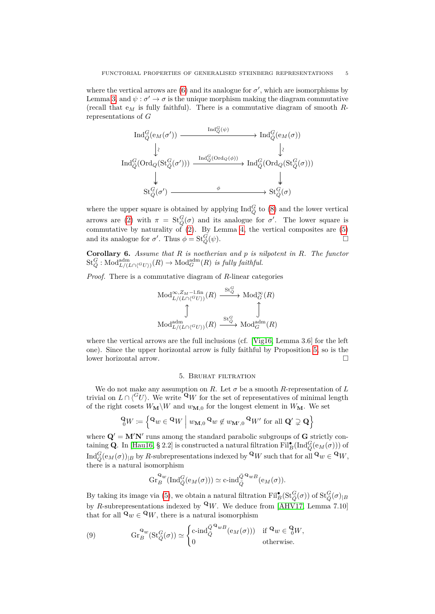where the vertical arrows are  $(6)$  and its analogue for  $\sigma'$ , which are isomorphisms by Lemma [3,](#page-3-3) and  $\psi$  :  $\sigma' \rightarrow \sigma$  is the unique morphism making the diagram commutative (recall that e*<sup>M</sup>* is fully faithful). There is a commutative diagram of smooth *R*representations of *G*

$$
\operatorname{Ind}_{\bar{Q}}^{\bar{G}}(e_M(\sigma')) \xrightarrow{\operatorname{Ind}_{\bar{Q}}^{\bar{G}}(\psi)} \operatorname{Ind}_{\bar{Q}}^{\bar{G}}(e_M(\sigma))
$$
\n
$$
\downarrow \wr \operatorname{Ind}_{\bar{Q}}^{\bar{G}}(\operatorname{Ord}_Q(\operatorname{St}_{\bar{Q}}^{\bar{G}}(\sigma'))) \xrightarrow{\operatorname{Ind}_{\bar{Q}}^{\bar{G}}(\operatorname{Ord}_Q(\phi))} \operatorname{Ind}_{\bar{Q}}^{\bar{G}}(\operatorname{Ord}_Q(\operatorname{St}_{\bar{Q}}^{\bar{G}}(\sigma)))
$$
\n
$$
\downarrow \qquad \qquad \downarrow \qquad \qquad \downarrow
$$
\n
$$
\operatorname{St}_{\bar{Q}}^{\bar{G}}(\sigma') \xrightarrow{\phi} \qquad \qquad \downarrow \operatorname{St}_{\bar{Q}}^{\bar{G}}(\sigma)
$$

where the upper square is obtained by applying  $\text{Ind}_{\bar{Q}}^G$  to [\(8\)](#page-3-4) and the lower vertical arrows are [\(2\)](#page-2-1) with  $\pi = \text{St}_{\overline{Q}}^G(\sigma)$  and its analogue for  $\sigma'$ . The lower square is commutative by naturality of  $(2)$ . By Lemma [4,](#page-3-5) the vertical composites are  $(5)$ and its analogue for  $\sigma'$ . Thus  $\phi = \text{St}_{\bar{O}}^G$  $\overline{Q}(\psi)$ .

<span id="page-4-0"></span>**Corollary 6.** *Assume that R is noetherian and p is nilpotent in R. The functor*  $\mathrm{St}_{\bar{Q}}^G : \mathrm{Mod}^{\mathrm{adm}}_{L/(L \cap {\langle}^G U {\rangle})}(R) \to \mathrm{Mod}^{\mathrm{adm}}_G(R)$  *is fully faithful.* 

*Proof.* There is a commutative diagram of *R*-linear categories

$$
\begin{array}{ccc}\n\operatorname{Mod}_{L/(L\cap \langle ^G U \rangle)}^{\infty,Z_M-\text{1,fin}}(R) & \xrightarrow{\mathrm{St}_{Q}^G} \operatorname{Mod}_{G}^{\infty}(R) \\
\downarrow & & \downarrow \qquad \qquad \downarrow \qquad \qquad \downarrow \qquad \qquad \downarrow \qquad \qquad \downarrow \qquad \qquad \downarrow \qquad \qquad \downarrow \qquad \qquad \downarrow \qquad \qquad \downarrow \qquad \qquad \downarrow \qquad \qquad \downarrow \qquad \qquad \downarrow \qquad \qquad \downarrow \qquad \qquad \downarrow \qquad \qquad \downarrow \qquad \qquad \downarrow \qquad \qquad \downarrow \qquad \qquad \downarrow \qquad \qquad \downarrow \qquad \qquad \downarrow \qquad \qquad \downarrow \qquad \qquad \downarrow \qquad \qquad \downarrow \qquad \qquad \downarrow \qquad \qquad \downarrow \qquad \qquad \downarrow \qquad \qquad \downarrow \qquad \qquad \downarrow \qquad \qquad \downarrow \qquad \qquad \downarrow \qquad \qquad \downarrow \qquad \qquad \downarrow \qquad \qquad \downarrow \qquad \qquad \downarrow \qquad \qquad \downarrow \qquad \qquad \downarrow \qquad \qquad \downarrow \qquad \qquad \downarrow \qquad \qquad \downarrow \qquad \qquad \downarrow \qquad \qquad \downarrow \qquad \qquad \downarrow \qquad \qquad \downarrow \qquad \qquad \downarrow \qquad \qquad \downarrow \qquad \qquad \downarrow \qquad \qquad \downarrow \qquad \qquad \downarrow \qquad \qquad \downarrow \qquad \qquad \downarrow \qquad \qquad \downarrow \qquad \qquad \downarrow \qquad \qquad \downarrow \qquad \qquad \downarrow \qquad \qquad \downarrow \qquad \qquad \downarrow \qquad \qquad \downarrow \qquad \qquad \downarrow \qquad \qquad \downarrow \qquad \qquad \downarrow \qquad \qquad \downarrow \qquad \qquad \downarrow \qquad \qquad \downarrow \qquad \qquad \downarrow \qquad \qquad \downarrow \qquad \qquad \downarrow \qquad \qquad \downarrow \qquad \qquad \downarrow \qquad \qquad \downarrow \qquad \qquad \downarrow \qquad \qquad \downarrow \qquad \qquad \downarrow \qquad \qquad \downarrow \qquad \qquad \downarrow \qquad \qquad \downarrow \qquad \qquad \downarrow \qquad \
$$

where the vertical arrows are the full inclusions (cf. [\[Vig16,](#page-13-1) Lemma 3.6] for the left one). Since the upper horizontal arrow is fully faithful by Proposition [5,](#page-3-6) so is the lower horizontal arrow.

## 5. Bruhat filtration

We do not make any assumption on *R*. Let  $\sigma$  be a smooth *R*-representation of *L* trivial on  $L \cap \langle^G U \rangle$ . We write  $\mathbf{Q}_W$  for the set of representatives of minimal length of the right cosets  $W_{\mathbf{M}}\backslash W$  and  $w_{\mathbf{M},0}$  for the longest element in  $W_{\mathbf{M}}$ . We set

$$
\mathbf{Q}_0 W := \left\{ \mathbf{Q}_W \in \mathbf{Q}_W \mid w_{\mathbf{M},0} \mathbf{Q}_W \notin w_{\mathbf{M}',0} \mathbf{Q}_W' \text{ for all } \mathbf{Q}' \supsetneq \mathbf{Q} \right\}
$$

where  $Q' = M'N'$  runs among the standard parabolic subgroups of  $G$  strictly containing **Q**. In [\[Hau16,](#page-12-1) § 2.2] is constructed a natural filtration  $\text{Fil}_{B}^{\bullet}(\text{Ind}_{\bar{Q}}^G(\text{e}_M(\sigma)))$  of  $\text{Ind}_{\bar{Q}}^G(\mathsf{e}_M(\sigma))_{|B}$  by *R*-subrepresentations indexed by  ${}^{\mathbf{Q}} W$  such that for all  ${}^{\mathbf{Q}} w \in {}^{\mathbf{Q}} W$ , there is a natural isomorphism

$$
\operatorname{Gr}_{B}^{\mathbf{Q}_{w}}(\operatorname{Ind}_{\bar{Q}}^{G}(\mathrm{e}_{M}(\sigma))) \simeq \operatorname{c-ind}_{\bar{Q}}^{\bar{Q}^{\mathbf{Q}_{w}}B}(\mathrm{e}_{M}(\sigma)).
$$

By taking its image via [\(5\)](#page-3-0), we obtain a natural filtration  $Fil^{\bullet}_{B}(\text{St}^G_{\bar{Q}}(\sigma))$  of  $\text{St}^G_{\bar{Q}}(\sigma)_{|B}$ by *R*-subrepresentations indexed by  $\mathbf{Q}_W$ . We deduce from [\[AHV17,](#page-12-6) Lemma 7.10] that for all  $\mathbf{Q}_w \in \mathbf{Q}_W$ , there is a natural isomorphism

<span id="page-4-1"></span>(9) 
$$
\operatorname{Gr}_{B}^{\mathbf{Q}_{w}}(\operatorname{St}_{\bar{Q}}^{G}(\sigma)) \simeq \begin{cases} \operatorname{c-ind}_{\bar{Q}}^{\bar{Q}^{\mathbf{Q}_{w}}B}(\operatorname{e}_{M}(\sigma)) & \text{if } \mathbf{Q}_{w} \in \mathcal{C}_{0}^{W}, \\ 0 & \text{otherwise.} \end{cases}
$$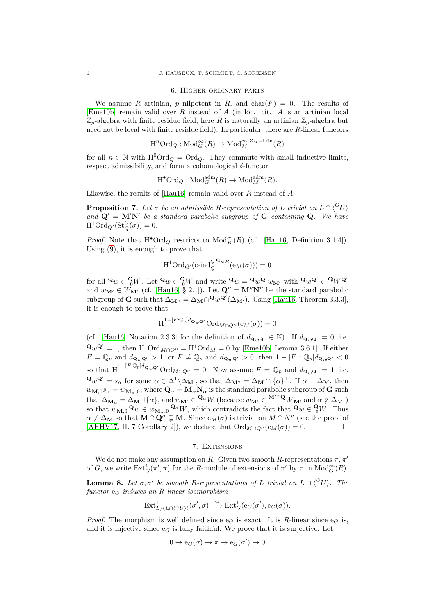#### 6. Higher ordinary parts

We assume *R* artinian, *p* nilpotent in *R*, and char( $F$ ) = 0. The results of [\[Eme10b\]](#page-12-11) remain valid over *R* instead of *A* (in loc. cit. *A* is an artinian local  $\mathbb{Z}_p$ -algebra with finite residue field; here *R* is naturally an artinian  $\mathbb{Z}_p$ -algebra but need not be local with finite residue field). In particular, there are *R*-linear functors

$$
\mathrm{H}^n\mathrm{Ord}_Q: \mathrm{Mod}_G^{\infty}(R) \to \mathrm{Mod}_M^{\infty, Z_M-\mathrm{l}.\mathrm{fin}}(R)
$$

for all  $n \in \mathbb{N}$  with  $H^0\text{Ord}_Q = \text{Ord}_Q$ . They commute with small inductive limits, respect admissibility, and form a cohomological *δ*-functor

$$
\mathrm{H}^{\bullet}\mathrm{Ord}_Q: \mathrm{Mod}^{\mathrm{adm}}_G(R) \to \mathrm{Mod}^{\mathrm{adm}}_M(R).
$$

Likewise, the results of [\[Hau16\]](#page-12-1) remain valid over *R* instead of *A*.

<span id="page-5-1"></span>**Proposition 7.** Let  $\sigma$  be an admissible *R*-representation of *L* trivial on  $L \cap \binom{G}{U}$ and  $Q' = M'N'$  be a standard parabolic subgroup of  $G$  containing  $Q$ . We have  $H^1 \text{Ord}_{Q'}(\text{St}^G_{\bar{Q}}(\sigma)) = 0.$ 

*Proof.* Note that  $H^{\bullet} \text{Ord}_Q$  restricts to  $\text{Mod}_B^{\infty}(R)$  (cf. [\[Hau16,](#page-12-1) Definition 3.1.4]). Using [\(9\)](#page-4-1), it is enough to prove that

$$
H^{1}Ord_{Q'}(c\text{-}\mathrm{ind}_{\bar{Q}}^{\bar{Q}^{\mathbf{Q}}wB}(e_{M}(\sigma)))=0
$$

for all  $\mathbf{Q}_w \in \mathbf{Q}_W$ . Let  $\mathbf{Q}_w \in \mathbf{Q}_W$  and write  $\mathbf{Q}_w = \mathbf{Q}_w \mathbf{Q}' w_{\mathbf{M}'}$  with  $\mathbf{Q}_w \mathbf{Q}' \in \mathbf{Q}_W \mathbf{Q}'$ and  $w_{\mathbf{M}'} \in W_{\mathbf{M}'}$  (cf. [\[Hau16,](#page-12-1) § 2.1]). Let  $\mathbf{Q}'' = \mathbf{M}''\mathbf{N}''$  be the standard parabolic subgroup of **G** such that  $\Delta_{\mathbf{M}''} = \Delta_{\mathbf{M}} \cap \mathbf{Q}_w \mathbf{Q}'(\Delta_{\mathbf{M}'}).$  Using [\[Hau16,](#page-12-1) Theorem 3.3.3], it is enough to prove that

$$
\operatorname{H}^{1-[F:\mathbb{Q}_p]d_{\mathbf{Q}_w\mathbf{Q}'}\mathrm{Ord}_{M\cap Q''}(\mathrm{e}_M(\sigma))=0
$$

(cf. [\[Hau16,](#page-12-1) Notation 2.3.3] for the definition of  $d_{\mathbf{Q}_w\mathbf{Q}'} \in \mathbb{N}$ ). If  $d_{\mathbf{Q}_w\mathbf{Q}'} = 0$ , i.e.  $\mathbf{Q}_w \mathbf{Q}' = 1$ , then  $\mathrm{H}^1 \mathrm{Ord}_{M \cap Q''} = \mathrm{H}^1 \mathrm{Ord}_M = 0$  by [\[Eme10b,](#page-12-11) Lemma 3.6.1]. If either  $F = \mathbb{Q}_p$  and  $d_{\mathbf{Q}_w \mathbf{Q}} > 1$ , or  $F \neq \mathbb{Q}_p$  and  $d_{\mathbf{Q}_w \mathbf{Q}} > 0$ , then  $1 - [F : \mathbb{Q}_p] d_{\mathbf{Q}_w \mathbf{Q}} < 0$ so that  $H^{1-[F:\mathbb{Q}_p]d_{\mathbf{Q}_w\mathbf{Q}'}}$  Ord<sub>*M*∩*Q*<sup>*u*</sup> = 0. Now assume  $F = \mathbb{Q}_p$  and  $d_{\mathbf{Q}_w\mathbf{Q}'} = 1$ , i.e.</sub>  $\mathbf{Q}_w \mathbf{Q}' = s_\alpha$  for some  $\alpha \in \Delta^1 \backslash \Delta_{\mathbf{M}'},$  so that  $\Delta_{\mathbf{M}''} = \Delta_{\mathbf{M}} \cap {\alpha}^{\perp}$ . If  $\alpha \perp \Delta_{\mathbf{M}},$  then  $w_{\mathbf{M},0} s_{\alpha} = w_{\mathbf{M}_{\alpha},0}$ , where  $\mathbf{Q}_{\alpha} = \mathbf{M}_{\alpha} \mathbf{N}_{\alpha}$  is the standard parabolic subgroup of **G** such that  $\Delta_{\mathbf{M}_{\alpha}} = \Delta_{\mathbf{M}} \sqcup \{\alpha\}$ , and  $w_{\mathbf{M}'} \in \mathbf{Q}^{\alpha}W$  (because  $w_{\mathbf{M}'} \in \mathbf{M}' \cap \mathbf{Q}W_{\mathbf{M}'}$  and  $\alpha \notin \Delta_{\mathbf{M}'}$ ) so that  $w_{\mathbf{M},0} \mathbf{Q}_w \in w_{\mathbf{M}_\alpha,0} \mathbf{Q}_\alpha W$ , which contradicts the fact that  $\mathbf{Q}_w \in \mathbf{Q}_W$ . Thus  $\alpha \neq \Delta_M$  so that  $M \cap \overline{Q''} \subsetneq M$ . Since  $e_M(\sigma)$  is trivial on  $M \cap N''$  (see the proof of [\[AHHV17,](#page-12-0) II. 7 Corollary 2]), we deduce that  $\text{Ord}_{M\cap Q^{\prime\prime}}(e_M(\sigma))=0.$ 

### 7. EXTENSIONS

We do not make any assumption on *R*. Given two smooth *R*-representations  $\pi, \pi'$ of *G*, we write  $\text{Ext}^1_G(\pi', \pi)$  for the *R*-module of extensions of  $\pi'$  by  $\pi$  in  $\text{Mod}_G^{\infty}(R)$ .

<span id="page-5-0"></span>**Lemma 8.** Let  $\sigma$ ,  $\sigma'$  be smooth *R*-representations of *L* trivial on  $L \cap \binom{G}{U}$ *. The functor* e*<sup>G</sup> induces an R-linear isomorphism*

$$
\mathrm{Ext}^1_{L/(L\cap\langle{}^G U\rangle)}(\sigma',\sigma) \stackrel{\sim}{\longrightarrow} \mathrm{Ext}^1_G(\mathrm{e}_G(\sigma'),\mathrm{e}_G(\sigma)).
$$

*Proof.* The morphism is well defined since  $e_G$  is exact. It is *R*-linear since  $e_G$  is, and it is injective since  $e_G$  is fully faithful. We prove that it is surjective. Let

$$
0 \to e_G(\sigma) \to \pi \to e_G(\sigma') \to 0
$$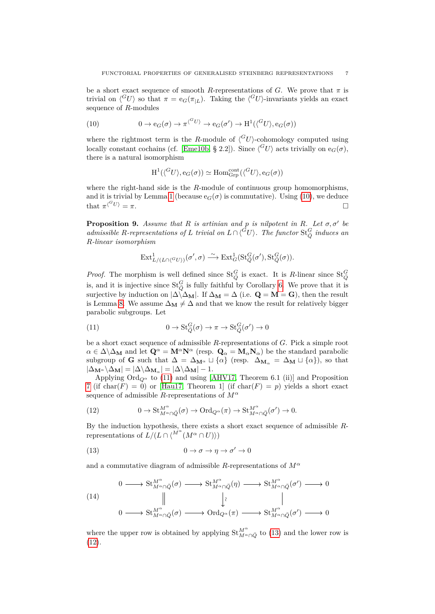be a short exact sequence of smooth *R*-representations of *G*. We prove that  $\pi$  is trivial on  $\langle G_U \rangle$  so that  $\pi = e_G(\pi_L)$ . Taking the  $\langle G_U \rangle$ -invariants yields an exact sequence of *R*-modules

(10) 
$$
0 \to e_G(\sigma) \to \pi^{\langle^G U \rangle} \to e_G(\sigma') \to H^1(\langle^G U \rangle, e_G(\sigma))
$$

where the rightmost term is the *R*-module of  $\langle G_U \rangle$ -cohomology computed using locally constant cochains (cf. [\[Eme10b,](#page-12-11) § 2.2]). Since  $\langle G_U \rangle$  acts trivially on  $e_G(\sigma)$ , there is a natural isomorphism

<span id="page-6-1"></span>
$$
\mathrm{H}^1(\langle^G U \rangle, \mathrm{e}_G(\sigma)) \simeq \mathrm{Hom}^{\mathrm{cont}}_{\mathrm{Grp}}(\langle^G U \rangle, \mathrm{e}_G(\sigma))
$$

where the right-hand side is the *R*-module of continuous group homomorphisms, and it is trivial by Lemma [1](#page-1-0) (because  $e_G(\sigma)$  is commutative). Using [\(10\)](#page-6-1), we deduce that  $\pi^{(^UU)} = \pi$ .

<span id="page-6-0"></span>**Proposition 9.** Assume that  $R$  is artinian and  $p$  is nilpotent in  $R$ *. Let*  $\sigma$ ,  $\sigma'$  be *admissible R*-representations of *L* trivial on  $L \cap \langle ^GU \rangle$ . The functor  $\text{St}_{\bar{Q}}^G$  induces an *R-linear isomorphism*

<span id="page-6-2"></span>
$$
\mathrm{Ext}^1_{L/(L\cap\langle^G U\rangle)}(\sigma',\sigma)\stackrel{\sim}{\longrightarrow}\mathrm{Ext}^1_G(\mathrm{St}_{\bar{Q}}^G(\sigma'),\mathrm{St}_{\bar{Q}}^G(\sigma)).
$$

*Proof.* The morphism is well defined since  $St_{\bar{Q}}^G$  is exact. It is *R*-linear since  $St_{\bar{Q}}^G$ is, and it is injective since  $St_{\overline{Q}}^G$  is fully faithful by Corollary [6.](#page-4-0) We prove that it is surjective by induction on  $|\Delta \angle \Delta_M|$ . If  $\Delta_M = \Delta$  (i.e.  $Q = M = G$ ), then the result is Lemma [8.](#page-5-0) We assume  $\Delta_M \neq \Delta$  and that we know the result for relatively bigger parabolic subgroups. Let

(11) 
$$
0 \to \mathrm{St}_{\bar{Q}}^G(\sigma) \to \pi \to \mathrm{St}_{\bar{Q}}^G(\sigma') \to 0
$$

be a short exact sequence of admissible *R*-representations of *G*. Pick a simple root  $\alpha \in \Delta \setminus \Delta_M$  and let  $\mathbf{Q}^{\alpha} = \mathbf{M}^{\alpha} \mathbf{N}^{\alpha}$  (resp.  $\mathbf{Q}_{\alpha} = \mathbf{M}_{\alpha} \mathbf{N}_{\alpha}$ ) be the standard parabolic subgroup of **G** such that  $\Delta = \Delta_{\mathbf{M}^{\alpha}} \sqcup \{\alpha\}$  (resp.  $\Delta_{\mathbf{M}_{\alpha}} = \Delta_{\mathbf{M}} \sqcup \{\alpha\}$ ), so that  $|\Delta_{\mathbf{M}^{\alpha}}\backslash\Delta_{\mathbf{M}}| = |\Delta\backslash\Delta_{\mathbf{M}_{\alpha}}| = |\Delta\backslash\Delta_{\mathbf{M}}| - 1.$ 

Applying  $\text{Ord}_{Q^{\alpha}}$  to [\(11\)](#page-6-2) and using [\[AHV17,](#page-12-6) Theorem 6.1 (ii)] and Proposition [7](#page-5-1) (if char( $F$ ) = 0) or [\[Hau17,](#page-12-3) Theorem 1] (if char( $F$ ) = p) yields a short exact sequence of admissible *R*-representations of *M<sup>α</sup>*

<span id="page-6-4"></span>(12) 
$$
0 \to \mathrm{St}_{M^{\alpha} \cap \bar{Q}}^{M^{\alpha}}(\sigma) \to \mathrm{Ord}_{Q^{\alpha}}(\pi) \to \mathrm{St}_{M^{\alpha} \cap \bar{Q}}^{M^{\alpha}}(\sigma') \to 0.
$$

By the induction hypothesis, there exists a short exact sequence of admissible *R*representations of  $L/(L \cap \langle M^{\alpha} \cap U \rangle)$ 

<span id="page-6-3"></span>(13) 
$$
0 \to \sigma \to \eta \to \sigma' \to 0
$$

and a commutative diagram of admissible *R*-representations of  $M^{\alpha}$ 

<span id="page-6-5"></span>(14)  
\n
$$
0 \longrightarrow St_{M^{\alpha} \cap \bar{Q}}^{M^{\alpha}}(\sigma) \longrightarrow St_{M^{\alpha} \cap \bar{Q}}^{M^{\alpha}}(\eta) \longrightarrow St_{M^{\alpha} \cap \bar{Q}}^{M^{\alpha}}(\sigma') \longrightarrow 0
$$
\n
$$
\parallel \qquad \qquad \downarrow \qquad \qquad \parallel
$$
\n
$$
0 \longrightarrow St_{M^{\alpha} \cap \bar{Q}}^{M^{\alpha}}(\sigma) \longrightarrow \text{Ord}_{Q^{\alpha}}(\pi) \longrightarrow St_{M^{\alpha} \cap \bar{Q}}^{M^{\alpha}}(\sigma') \longrightarrow 0
$$

where the upper row is obtained by applying  $\mathrm{St}_{M^{\alpha}\cap \bar{Q}}^{M^{\alpha}}$  to [\(13\)](#page-6-3) and the lower row is [\(12\)](#page-6-4).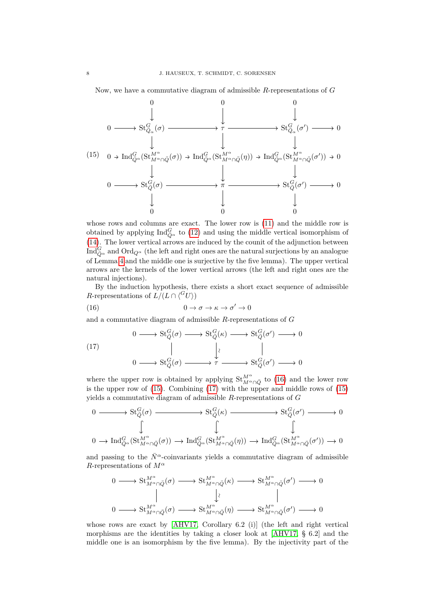Now, we have a commutative diagram of admissible *R*-representations of *G*

<span id="page-7-1"></span>

whose rows and columns are exact. The lower row is [\(11\)](#page-6-2) and the middle row is obtained by applying  $\text{Ind}_{\bar{Q}^{\alpha}}^G$  to [\(12\)](#page-6-4) and using the middle vertical isomorphism of [\(14\)](#page-6-5). The lower vertical arrows are induced by the counit of the adjunction between  ${\rm Ind}_{Q^{\alpha}}^G$  and  ${\rm Ord}_{Q^{\alpha}}$  (the left and right ones are the natural surjections by an analogue of Lemma [4](#page-3-5) and the middle one is surjective by the five lemma). The upper vertical arrows are the kernels of the lower vertical arrows (the left and right ones are the natural injections).

By the induction hypothesis, there exists a short exact sequence of admissible *R*-representations of  $L/(L \cap \langle ^G U \rangle)$ 

<span id="page-7-0"></span>(16) 
$$
0 \to \sigma \to \kappa \to \sigma' \to 0
$$

and a commutative diagram of admissible *R*-representations of *G*

<span id="page-7-2"></span>(17)  
\n
$$
0 \longrightarrow St_Q^G(\sigma) \longrightarrow St_Q^G(\kappa) \longrightarrow St_Q^G(\sigma') \longrightarrow 0
$$
\n
$$
\parallel \qquad \qquad \downarrow \qquad \qquad \parallel
$$
\n
$$
0 \longrightarrow St_Q^G(\sigma) \longrightarrow \tau \longrightarrow St_Q^G(\sigma') \longrightarrow 0
$$

where the upper row is obtained by applying  $\mathrm{St}_{M^{\alpha}\cap \bar{Q}}^{M^{\alpha}}$  to [\(16\)](#page-7-0) and the lower row is the upper row of  $(15)$ . Combining  $(17)$  with the upper and middle rows of  $(15)$ yields a commutative diagram of admissible *R*-representations of *G*

$$
\begin{array}{ccc}\n0 & \longrightarrow & \mathrm{St}_{Q}^{G}(\sigma) \longrightarrow & \mathrm{St}_{Q}^{G}(\kappa) \longrightarrow & \mathrm{St}_{Q}^{G}(\sigma') \longrightarrow & 0 \\
& & \downarrow & & \downarrow & \\
0 & \longrightarrow & \mathrm{Ind}_{Q^{\alpha}}^{G}(\mathrm{St}_{M^{\alpha}\cap \bar{Q}}^{M^{\alpha}}(\sigma)) \longrightarrow & \mathrm{Ind}_{Q^{\alpha}}^{G}(\mathrm{St}_{M^{\alpha}\cap \bar{Q}}^{M^{\alpha}}(\eta)) \longrightarrow & \mathrm{Ind}_{Q^{\alpha}}^{G}(\mathrm{St}_{M^{\alpha}\cap \bar{Q}}^{M^{\alpha}}(\sigma')) \longrightarrow & 0\n\end{array}
$$

and passing to the  $\bar{N}^{\alpha}$ -coinvariants yields a commutative diagram of admissible *R*-representations of *M<sup>α</sup>*

$$
\begin{array}{ccc}\n0 & \longrightarrow & \operatorname{St}_{M^{\alpha}\cap\bar{Q}}^{M^{\alpha}}(\sigma) \longrightarrow & \operatorname{St}_{M^{\alpha}\cap\bar{Q}}^{M^{\alpha}}(\kappa) \longrightarrow & \operatorname{St}_{M^{\alpha}\cap\bar{Q}}^{M^{\alpha}}(\sigma') \longrightarrow 0 \\
& & \parallel & \downarrow \wr & & \parallel \\
0 & \longrightarrow & \operatorname{St}_{M^{\alpha}\cap\bar{Q}}^{M^{\alpha}}(\sigma) \longrightarrow & \operatorname{St}_{M^{\alpha}\cap\bar{Q}}^{M^{\alpha}}(\eta) \longrightarrow & \operatorname{St}_{M^{\alpha}\cap\bar{Q}}^{M^{\alpha}}(\sigma') \longrightarrow 0\n\end{array}
$$

whose rows are exact by [\[AHV17,](#page-12-6) Corollary 6.2 (i)] (the left and right vertical morphisms are the identities by taking a closer look at [\[AHV17,](#page-12-6) § 6.2] and the middle one is an isomorphism by the five lemma). By the injectivity part of the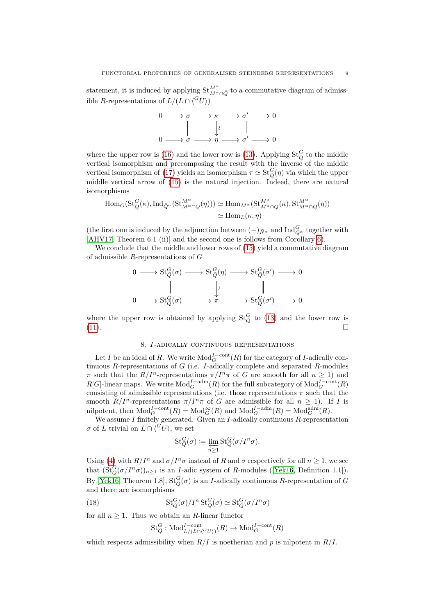statement, it is induced by applying  $\mathrm{St}_{M^{\alpha}\cap \bar{Q}}^{M^{\alpha}}$  to a commutative diagram of admissible *R*-representations of  $L/(L \cap \langle ^G U \rangle)$ 



where the upper row is [\(16\)](#page-7-0) and the lower row is [\(13\)](#page-6-3). Applying  $St_{\bar{Q}}^G$  to the middle vertical isomorphism and precomposing the result with the inverse of the middle vertical isomorphism of [\(17\)](#page-7-2) yields an isomorphism  $\tau \simeq \text{St}_{\bar{Q}}^G(\eta)$  via which the upper middle vertical arrow of [\(15\)](#page-7-1) is the natural injection. Indeed, there are natural isomorphisms

$$
\text{Hom}_G(\text{St}_Q^G(\kappa), \text{Ind}_{\bar{Q}^{\alpha}}(\text{St}_{M^{\alpha}\cap \bar{Q}}^{M^{\alpha}}(\eta))) \simeq \text{Hom}_{M^{\alpha}}(\text{St}_{M^{\alpha}\cap \bar{Q}}^{M^{\alpha}}(\kappa), \text{St}_{M^{\alpha}\cap \bar{Q}}^{M^{\alpha}}(\eta))
$$

$$
\simeq \text{Hom}_L(\kappa, \eta)
$$

(the first one is induced by the adjunction between  $(-)_{\bar{N}^{\alpha}}$  and  $\text{Ind}_{\bar{Q}^{\alpha}}^G$  together with [\[AHV17,](#page-12-6) Theorem 6.1 (ii)] and the second one is follows from Corollary [6\)](#page-4-0).

We conclude that the middle and lower rows of  $(15)$  yield a commutative diagram of admissible *R*-representations of *G*

$$
0 \longrightarrow \text{St}_{\bar{Q}}^G(\sigma) \longrightarrow \text{St}_{\bar{Q}}^G(\eta) \longrightarrow \text{St}_{\bar{Q}}^G(\sigma') \longrightarrow 0
$$
  

$$
\parallel \qquad \qquad \downarrow \qquad \qquad \parallel
$$
  

$$
0 \longrightarrow \text{St}_{\bar{Q}}^G(\sigma) \longrightarrow \pi \longrightarrow \text{St}_{\bar{Q}}^G(\sigma') \longrightarrow 0
$$

where the upper row is obtained by applying  $St_{\overline{Q}}^G$  to [\(13\)](#page-6-3) and the lower row is [\(11\)](#page-6-2).

## 8. *I*-adically continuous representations

Let *I* be an ideal of *R*. We write  $\text{Mod}_{G}^{I-\text{cont}}(R)$  for the category of *I*-adically continuous *R*-representations of *G* (i.e. *I*-adically complete and separated *R*-modules *π* such that the  $R/I^n$ -representations  $\pi/I^n \pi$  of *G* are smooth for all  $n \geq 1$ ) and  $R[G]$ -linear maps. We write  $Mod_G^{I-adm}(R)$  for the full subcategory of  $Mod_G^{I-cont}(R)$ consisting of admissible representations (i.e. those representations  $\pi$  such that the smooth  $R/I^n$ -representations  $\pi/I^n\pi$  of *G* are admissible for all  $n \geq 1$ ). If *I* is nilpotent, then  $\text{Mod}_{G}^{I-\text{cont}}(R) = \text{Mod}_{G}^{\infty}(R)$  and  $\text{Mod}_{G}^{I-\text{adm}}(R) = \text{Mod}_{G}^{\text{adm}}(R)$ .

We assume *I* finitely generated. Given an *I*-adically continuous *R*-representation *σ* of *L* trivial on  $L \cap \langle ^G U \rangle$ , we set

$$
\mathrm{St}_{\bar{Q}}^G(\sigma) \coloneqq \varprojlim_{n \geq 1} \mathrm{St}_{\bar{Q}}^G(\sigma/I^n \sigma).
$$

Using [\(4\)](#page-2-3) with  $R/I^n$  and  $\sigma/I^n\sigma$  instead of *R* and  $\sigma$  respectively for all  $n \geq 1$ , we see that  $(\text{St}_{\bar{Q}}^G(\sigma/I^n\sigma))_{n\geq 1}$  is an *I*-adic system of *R*-modules ([\[Yek16,](#page-13-2) Definition 1.1]). By [\[Yek16,](#page-13-2) Theorem 1.8],  $St_Q^G(\sigma)$  is an *I*-adically continuous *R*-representation of *G* and there are isomorphisms

(18) 
$$
\operatorname{St}_{\bar{Q}}^G(\sigma)/I^n \operatorname{St}_{\bar{Q}}^G(\sigma) \simeq \operatorname{St}_{\bar{Q}}^G(\sigma/I^n \sigma)
$$

for all  $n \geq 1$ . Thus we obtain an *R*-linear functor

<span id="page-8-0"></span>
$$
\mathsf{St}_Q^G:\mathsf{Mod}_{L/(L\cap\langle^G U\rangle)}^{I-{\rm cont}}(R)\to\mathsf{Mod}_G^{I-{\rm cont}}(R)
$$

which respects admissibility when  $R/I$  is noetherian and p is nilpotent in  $R/I$ .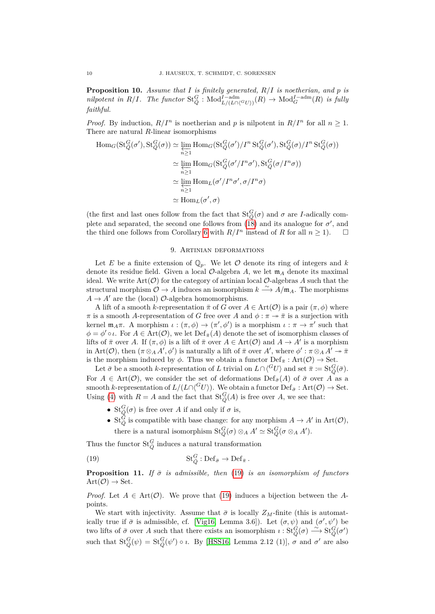<span id="page-9-0"></span>**Proposition 10.** *Assume that I is finitely generated, R/I is noetherian, and p is*  $nilpotent$  *in*  $R/I$ *. The functor*  $\text{St}_{\bar{Q}}^G$  :  $\text{Mod}_{L/(L \cap {\langle G \setminus U \rangle})}^{\text{I-adm}}(R)$   $\rightarrow \text{Mod}_G^{\text{I-adm}}(R)$  *is fully faithful.*

*Proof.* By induction,  $R/I^n$  is noetherian and p is nilpotent in  $R/I^n$  for all  $n > 1$ . There are natural *R*-linear isomorphisms

$$
\begin{split} \text{Hom}_{G}(\text{St}_{Q}^{G}(\sigma'), \text{St}_{Q}^{G}(\sigma)) &\simeq \varprojlim_{n\geq 1} \text{Hom}_{G}(\text{St}_{Q}^{G}(\sigma')/I^{n}\, \text{St}_{Q}^{G}(\sigma') , \text{St}_{Q}^{G}(\sigma) /I^{n}\, \text{St}_{Q}^{G}(\sigma)) \\ &\simeq \varprojlim_{n\geq 1} \text{Hom}_{G}(\text{St}_{Q}^{G}(\sigma'/I^{n}\sigma'), \text{St}_{Q}^{G}(\sigma/I^{n}\sigma)) \\ &\simeq \varprojlim_{n\geq 1} \text{Hom}_{L}(\sigma'/I^{n}\sigma', \sigma/I^{n}\sigma) \\ &\simeq \text{Hom}_{L}(\sigma', \sigma) \end{split}
$$

(the first and last ones follow from the fact that  $St_Q^G(\sigma)$  and  $\sigma$  are *I*-adically complete and separated, the second one follows from  $(18)$  and its analogue for  $\sigma'$ , and the third one follows from Corollary [6](#page-4-0) with  $R/I^n$  instead of *R* for all  $n \ge 1$ ).

## 9. Artinian deformations

Let *E* be a finite extension of  $\mathbb{Q}_p$ . We let *O* denote its ring of integers and *k* denote its residue field. Given a local  $\mathcal{O}\text{-algebra }A$ , we let  $\mathfrak{m}_A$  denote its maximal ideal. We write  $Art(\mathcal{O})$  for the category of artinian local  $\mathcal{O}$ -algebras A such that the structural morphism  $\mathcal{O} \to A$  induces an isomorphism  $k \stackrel{\sim}{\longrightarrow} A/\mathfrak{m}_A$ . The morphisms  $A \rightarrow A'$  are the (local)  $\mathcal{O}$ -algebra homomorphisms.

A lift of a smooth *k*-representation  $\bar{\pi}$  of *G* over  $A \in \text{Art}(\mathcal{O})$  is a pair  $(\pi, \phi)$  where  $\pi$  is a smooth *A*-representation of *G* free over *A* and  $\phi : \pi \rightarrow \bar{\pi}$  is a surjection with kernel  $\mathfrak{m}_A \pi$ . A morphism  $\iota : (\pi, \phi) \to (\pi', \phi')$  is a morphism  $\iota : \pi \to \pi'$  such that  $\phi = \phi' \circ \iota$ . For  $A \in \text{Art}(\mathcal{O})$ , we let  $\text{Def}_{\bar{\pi}}(A)$  denote the set of isomorphism classes of lifts of  $\bar{\pi}$  over *A*. If  $(\pi, \phi)$  is a lift of  $\bar{\pi}$  over  $A \in Art(\mathcal{O})$  and  $A \to A'$  is a morphism in Art( $\mathcal{O}$ ), then  $(\pi \otimes_A A', \phi')$  is naturally a lift of  $\bar{\pi}$  over  $A'$ , where  $\phi' : \pi \otimes_A A' \to \bar{\pi}$ is the morphism induced by  $\phi$ . Thus we obtain a functor  $\mathrm{Def}_{\bar{\pi}}:\mathrm{Art}(\mathcal{O})\to \mathrm{Set}.$ 

Let  $\bar{\sigma}$  be a smooth *k*-representation of *L* trivial on  $L \cap \binom{G}{U}$  and set  $\bar{\pi} \coloneqq \text{St}_{\bar{Q}}^G(\bar{\sigma})$ . For  $A \in \text{Art}(\mathcal{O})$ , we consider the set of deformations  $\text{Def}_{\bar{\sigma}}(A)$  of  $\bar{\sigma}$  over A as a smooth *k*-representation of  $L/(L \cap {^G}U)$ . We obtain a functor  $\text{Def}_{\bar{\sigma}} : \text{Art}(\mathcal{O}) \to \text{Set}$ . Using [\(4\)](#page-2-3) with  $R = A$  and the fact that  $St_Q^G(A)$  is free over  $A$ , we see that:

- $St_{\bar{Q}}^G(\sigma)$  is free over *A* if and only if  $\sigma$  is,
- <span id="page-9-2"></span>• St<sub> $\bar{Q}$ </sub> is compatible with base change: for any morphism  $A \to A'$  in  $Art(\mathcal{O})$ , there is a natural isomorphism  $\operatorname{St}_{\bar{Q}}^G(\sigma) \otimes_A A' \simeq \operatorname{St}_{\bar{Q}}^G(\sigma \otimes_A A')$ .

Thus the functor  $\operatorname{St}_{\bar{Q}}^G$  induces a natural transformation

(19) 
$$
\mathrm{St}_{\bar{Q}}^G : \mathrm{Def}_{\bar{\sigma}} \to \mathrm{Def}_{\bar{\pi}}.
$$

<span id="page-9-1"></span>**Proposition 11.** *If*  $\bar{\sigma}$  *is admissible, then* [\(19\)](#page-9-2) *is an isomorphism of functors*  $Art(\mathcal{O}) \rightarrow Set.$ 

*Proof.* Let  $A \in Art(\mathcal{O})$ . We prove that [\(19\)](#page-9-2) induces a bijection between the Apoints.

We start with injectivity. Assume that  $\bar{\sigma}$  is locally  $Z_M$ -finite (this is automatically true if  $\bar{\sigma}$  is admissible, cf. [\[Vig16,](#page-13-1) Lemma 3.6]). Let  $(\sigma, \psi)$  and  $(\sigma', \psi')$  be two lifts of  $\bar{\sigma}$  over *A* such that there exists an isomorphism  $\imath : \text{St}_{\bar{Q}}^{\dot{G}}(\sigma) \stackrel{\sim}{\longrightarrow} \text{St}_{\bar{Q}}^{\dot{G}}(\sigma')$ such that  $St_Q^G(\psi) = St_Q^G(\psi') \circ \iota$ . By [\[HSS16,](#page-12-2) Lemma 2.12 (1)],  $\sigma$  and  $\sigma'$  are also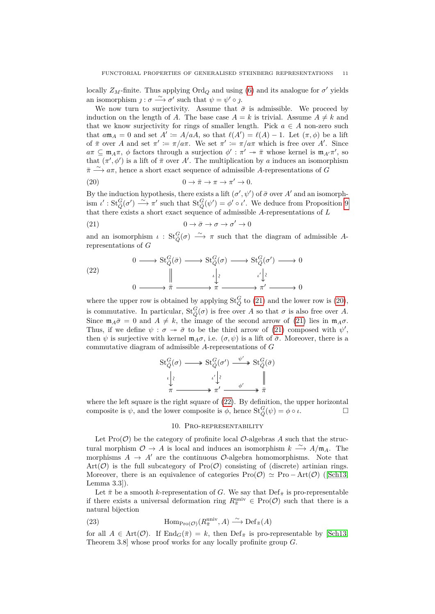locally  $Z_M$ -finite. Thus applying  $\text{Ord}_Q$  and using [\(6\)](#page-3-1) and its analogue for  $\sigma'$  yields an isomorphism  $j : \sigma \longrightarrow \sigma'$  such that  $\psi = \psi' \circ j$ .

We now turn to surjectivity. Assume that  $\bar{\sigma}$  is admissible. We proceed by induction on the length of *A*. The base case  $A = k$  is trivial. Assume  $A \neq k$  and that we know surjectivity for rings of smaller length. Pick  $a \in A$  non-zero such that  $a\mathfrak{m}_A = 0$  and set  $A' \coloneq A/aA$ , so that  $\ell(A') = \ell(A) - 1$ . Let  $(\pi, \phi)$  be a lift of  $\bar{\pi}$  over *A* and set  $\pi' := \pi/a\pi$ . We set  $\pi' := \pi/a\pi$  which is free over *A'*. Since  $a\pi \subseteq \mathfrak{m}_A\pi$ ,  $\phi$  factors through a surjection  $\phi': \pi' \to \bar{\pi}$  whose kernel is  $\mathfrak{m}_{A'}\pi'$ , so that  $(\pi', \phi')$  is a lift of  $\bar{\pi}$  over *A'*. The multiplication by *a* induces an isomorphism  $\bar{\pi}$  →  $\alpha \pi$ , hence a short exact sequence of admissible *A*-representations of *G* 

<span id="page-10-1"></span>(20) 
$$
0 \to \bar{\pi} \to \pi \to \pi' \to 0.
$$

By the induction hypothesis, there exists a lift  $(\sigma', \psi')$  of  $\bar{\sigma}$  over *A'* and an isomorphism  $\iota' : \operatorname{St}_{\bar{Q}}^G(\sigma') \stackrel{\sim}{\longrightarrow} \pi'$  such that  $\operatorname{St}_{\bar{Q}}^G(\psi') = \phi' \circ \iota'$ . We deduce from Proposition [9](#page-6-0) that there exists a short exact sequence of admissible *A*-representations of *L*

<span id="page-10-0"></span>(21) 
$$
0 \to \bar{\sigma} \to \sigma \to \sigma' \to 0
$$

and an isomorphism  $\iota$  :  $St_{\bar{Q}}^G(\sigma) \longrightarrow \pi$  such that the diagram of admissible *A*representations of *G*

<span id="page-10-2"></span>(22) 
$$
0 \longrightarrow St_{Q}^{G}(\bar{\sigma}) \longrightarrow St_{Q}^{G}(\sigma) \longrightarrow St_{Q}^{G}(\sigma') \longrightarrow 0
$$

$$
\parallel \qquad \qquad \downarrow \qquad \qquad \downarrow \qquad \qquad \downarrow \qquad \qquad \downarrow \qquad \qquad \downarrow \qquad \qquad \downarrow \qquad \qquad \downarrow \qquad \qquad \downarrow \qquad \qquad \downarrow \qquad \qquad \downarrow \qquad \qquad \downarrow \qquad \qquad \downarrow \qquad \qquad \downarrow \qquad \qquad \downarrow \qquad \qquad \downarrow \qquad \qquad \downarrow \qquad \qquad \downarrow \qquad \qquad \downarrow \qquad \qquad \downarrow \qquad \qquad \downarrow \qquad \qquad \downarrow \qquad \qquad \downarrow \qquad \qquad \downarrow \qquad \qquad \downarrow \qquad \qquad \downarrow \qquad \qquad \downarrow \qquad \qquad \downarrow \qquad \qquad \downarrow \qquad \qquad \downarrow \qquad \qquad \downarrow \qquad \qquad \downarrow \qquad \qquad \downarrow \qquad \qquad \downarrow \qquad \qquad \downarrow \qquad \qquad \downarrow \qquad \qquad \downarrow \qquad \qquad \downarrow \qquad \qquad \downarrow \qquad \qquad \downarrow \qquad \qquad \downarrow \qquad \qquad \downarrow \qquad \qquad \downarrow \qquad \qquad \downarrow \qquad \qquad \downarrow \qquad \qquad \downarrow \qquad \qquad \downarrow \qquad \qquad \downarrow \qquad \qquad \downarrow \qquad \qquad \downarrow \qquad \qquad \downarrow \qquad \qquad \downarrow \qquad \qquad \downarrow \qquad \qquad \downarrow \qquad \qquad \downarrow \qquad \qquad \downarrow \qquad \qquad \downarrow \qquad \qquad \downarrow \qquad \qquad \downarrow \qquad \qquad \downarrow \qquad \qquad \downarrow \qquad \qquad \downarrow \qquad \qquad \downarrow \qquad \qquad \downarrow \qquad \qquad \downarrow \qquad \qquad \downarrow \qquad \qquad \downarrow \qquad \qquad \downarrow \qquad \qquad \downarrow \qquad \qquad \downarrow \qquad \qquad \downarrow \qquad \qquad \downarrow \qquad \qquad \downarrow \qquad \qquad \downarrow \qquad \qquad \downarrow \qquad \qquad \downarrow \qquad \qquad \downarrow \qquad \qquad \downarrow \qquad \qquad \downarrow \
$$

where the upper row is obtained by applying  $St_{\bar{Q}}^G$  to [\(21\)](#page-10-0) and the lower row is [\(20\)](#page-10-1), is commutative. In particular,  $St_Q^G(\sigma)$  is free over *A* so that  $\sigma$  is also free over *A*. Since  $\mathfrak{m}_A\bar{\sigma}=0$  and  $A\neq k$ , the image of the second arrow of [\(21\)](#page-10-0) lies in  $\mathfrak{m}_A\sigma$ . Thus, if we define  $\psi : \sigma \to \bar{\sigma}$  to be the third arrow of [\(21\)](#page-10-0) composed with  $\psi'$ , then  $\psi$  is surjective with kernel  $\mathfrak{m}_A\sigma$ , i.e.  $(\sigma, \psi)$  is a lift of  $\bar{\sigma}$ . Moreover, there is a commutative diagram of admissible *A*-representations of *G*

$$
\begin{array}{ccc}\n\operatorname{St}_{\bar{Q}}^G(\sigma) & \longrightarrow & \operatorname{St}_{\bar{Q}}^G(\sigma') & \xrightarrow{\psi'} & \operatorname{St}_{\bar{Q}}^G(\bar{\sigma}) \\
\downarrow & & \downarrow \\
\downarrow & & \downarrow \\
\pi & \xrightarrow{\psi} & \pi' & \xrightarrow{\phi'} & \pi\n\end{array}
$$

where the left square is the right square of [\(22\)](#page-10-2). By definition, the upper horizontal composite is  $\psi$ , and the lower composite is  $\phi$ , hence  $\text{St}_{\bar{Q}}^G(\psi) = \phi \circ \iota$ .

## 10. Pro-representability

Let  $\text{Pro}(\mathcal{O})$  be the category of profinite local  $\mathcal{O}\text{-algebras } A$  such that the structural morphism  $\mathcal{O} \to A$  is local and induces an isomorphism  $k \stackrel{\sim}{\longrightarrow} A/\mathfrak{m}_A$ . The morphisms  $A \rightarrow A'$  are the continuous  $\mathcal{O}$ -algebra homomorphisms. Note that  $Art(\mathcal{O})$  is the full subcategory of  $Pro(\mathcal{O})$  consisting of (discrete) artinian rings. Moreover, there is an equivalence of categories  $\text{Pro}(\mathcal{O}) \simeq \text{Pro} - \text{Art}(\mathcal{O})$  ([\[Sch13,](#page-13-3) Lemma 3.3]).

Let  $\bar{\pi}$  be a smooth *k*-representation of *G*. We say that  $\mathrm{Def}_{\bar{\pi}}$  is pro-representable if there exists a universal deformation ring  $R_{\overline{n}}^{\text{univ}} \in \text{Pro}(\mathcal{O})$  such that there is a natural bijection

<span id="page-10-3"></span>(23) 
$$
\text{Hom}_{\text{Pro}(\mathcal{O})}(R_{\bar{\pi}}^{\text{univ}}, A) \xrightarrow{\sim} \text{Def}_{\bar{\pi}}(A)
$$

for all  $A \in \text{Art}(\mathcal{O})$ . If  $\text{End}_G(\bar{\pi}) = k$ , then  $\text{Def}_{\bar{\pi}}$  is pro-representable by [\[Sch13,](#page-13-3) Theorem 3.8] whose proof works for any locally profinite group *G*.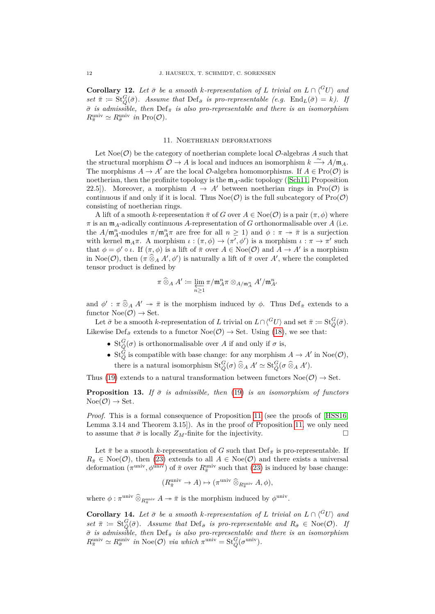<span id="page-11-1"></span>**Corollary 12.** Let  $\bar{\sigma}$  be a smooth *k*-representation of L trivial on  $L \cap \binom{G}{V}$  and  $set \ \bar{\pi} := \text{St}_{\bar{Q}}^G(\bar{\sigma})$ *.* Assume that  $\text{Def}_{\bar{\sigma}}$  is pro-representable (e.g.  $\text{End}_L(\bar{\sigma}) = k$ ). If *σ*¯ *is admissible, then* Def*π*¯ *is also pro-representable and there is an isomorphism*  $R_{\bar{\pi}}^{\text{univ}} \simeq R_{\bar{\sigma}}^{\text{univ}}$  *in* Pro( $\mathcal{O}$ ).

## 11. Noetherian deformations

Let  $Noe(\mathcal{O})$  be the category of noetherian complete local  $\mathcal{O}$ -algebras A such that the structural morphism  $\mathcal{O} \to A$  is local and induces an isomorphism  $k \stackrel{\sim}{\longrightarrow} A/\mathfrak{m}_A$ . The morphisms  $A \to A'$  are the local  $\mathcal{O}$ -algebra homomorphisms. If  $A \in \text{Pro}(\mathcal{O})$  is noetherian, then the profinite topology is the  $m_A$ -adic topology ([\[Sch11,](#page-13-4) Proposition 22.5]). Moreover, a morphism  $A \rightarrow A'$  between noetherian rings in Pro(O) is continuous if and only if it is local. Thus  $Noe(\mathcal{O})$  is the full subcategory of  $Pro(\mathcal{O})$ consisting of noetherian rings.

A lift of a smooth *k*-representation  $\bar{\pi}$  of *G* over  $A \in \text{Noe}(\mathcal{O})$  is a pair  $(\pi, \phi)$  where *π* is an m*A*-adically continuous *A*-representation of *G* orthonormalisable over *A* (i.e. the  $A/\mathfrak{m}_A^n$ -modules  $\pi/\mathfrak{m}_A^n \pi$  are free for all  $n \geq 1$ ) and  $\phi : \pi \to \bar{\pi}$  is a surjection with kernel  $\mathfrak{m}_A \pi$ . A morphism  $\iota : (\pi, \phi) \to (\pi', \phi')$  is a morphism  $\iota : \pi \to \pi'$  such that  $\phi = \phi' \circ \iota$ . If  $(\pi, \phi)$  is a lift of  $\bar{\pi}$  over  $A \in \text{Noe}(\mathcal{O})$  and  $A \to A'$  is a morphism in Noe( $\mathcal{O}$ ), then  $(\pi \widehat{\otimes}_A A', \phi')$  is naturally a lift of  $\bar{\pi}$  over  $A'$ , where the completed tensor product is defined by

$$
\pi\mathbin{\widehat{\otimes}}_A A' \coloneqq \varprojlim_{n\geq 1} \pi/\mathfrak{m}_A^n\pi\otimes_{A/\mathfrak{m}_A^n} A'/\mathfrak{m}_{A'}^n
$$

and  $\phi'$ :  $\pi \widehat{\otimes}_A A' \twoheadrightarrow \bar{\pi}$  is the morphism induced by  $\phi$ . Thus  $\text{Def}_{\bar{\pi}}$  extends to a functor  $Noe(\mathcal{O}) \rightarrow Set.$ 

Let  $\bar{\sigma}$  be a smooth *k*-representation of *L* trivial on  $L \cap \langle ^G U \rangle$  and set  $\bar{\pi} \coloneqq \text{St}_{\bar{Q}}^G(\bar{\sigma})$ . Likewise  $\text{Def}_{\bar{\sigma}}$  extends to a functor  $\text{Noe}(\mathcal{O}) \to \text{Set}$ . Using [\(18\)](#page-8-0), we see that:

- $St_{\overline{Q}}^G(\sigma)$  is orthonormalisable over *A* if and only if  $\sigma$  is,
- St<sub> $\bar{Q}$ </sub> is compatible with base change: for any morphism  $A \to A'$  in Noe $(\mathcal{O})$ , there is a natural isomorphism  $\operatorname{St}_{\bar{Q}}^G(\sigma) \widehat{\otimes}_A A' \simeq \operatorname{St}_{\bar{Q}}^G(\sigma \widehat{\otimes}_A A')$ .

Thus [\(19\)](#page-9-2) extends to a natural transformation between functors  $Noe(\mathcal{O}) \rightarrow Set$ .

<span id="page-11-0"></span>**Proposition 13.** *If*  $\bar{\sigma}$  *is admissible, then* [\(19\)](#page-9-2) *is an isomorphism of functors*  $Noe(\mathcal{O}) \rightarrow Set.$ 

*Proof.* This is a formal consequence of Proposition [11](#page-9-1) (see the proofs of [\[HSS16,](#page-12-2) Lemma 3.14 and Theorem 3.15]). As in the proof of Proposition [11,](#page-9-1) we only need to assume that  $\bar{\sigma}$  is locally  $Z_M$ -finite for the injectivity.

Let  $\bar{\pi}$  be a smooth *k*-representation of *G* such that  $\mathrm{Def}_{\bar{\pi}}$  is pro-representable. If  $R_{\bar{\pi}} \in \text{Noe}(\mathcal{O})$ , then [\(23\)](#page-10-3) extends to all  $A \in \text{Noe}(\mathcal{O})$  and there exists a universal deformation  $(\pi^{\text{univ}}, \phi^{\text{univ}})$  of  $\bar{\pi}$  over  $R_{\bar{\pi}}^{\text{univ}}$  such that [\(23\)](#page-10-3) is induced by base change:

$$
(R_{\overline{\pi}}^{\text{univ}} \to A) \mapsto (\pi^{\text{univ}} \widehat{\otimes}_{R_{\overline{\pi}}^{\text{univ}}} A, \phi),
$$

where  $\phi: \pi^{\text{univ}} \widehat{\otimes}_{R_{\overline{n}}^{\text{univ}}} A \to \overline{n}$  is the morphism induced by  $\phi^{\text{univ}}$ .

<span id="page-11-2"></span>**Corollary 14.** Let  $\bar{\sigma}$  be a smooth *k*-representation of L trivial on  $L \cap {G \choose U}$  and  $set \ \bar{\pi}$  :=  $St_{\bar{Q}}^G(\bar{\sigma})$ *.* Assume that  $Def_{\bar{\sigma}}$  is pro-representable and  $R_{\bar{\sigma}} \in \text{Noe}(\mathcal{O})$ *.* If *σ*¯ *is admissible, then* Def*<sup>π</sup>*¯ *is also pro-representable and there is an isomorphism*  $R_{\bar{\pi}}^{\text{univ}} \simeq R_{\bar{\sigma}}^{\text{univ}}$  *in*  $\text{Noe}(\mathcal{O})$  *via which*  $\pi^{\text{univ}} = \text{St}_{\bar{Q}}^G(\sigma^{\text{univ}})$ *.*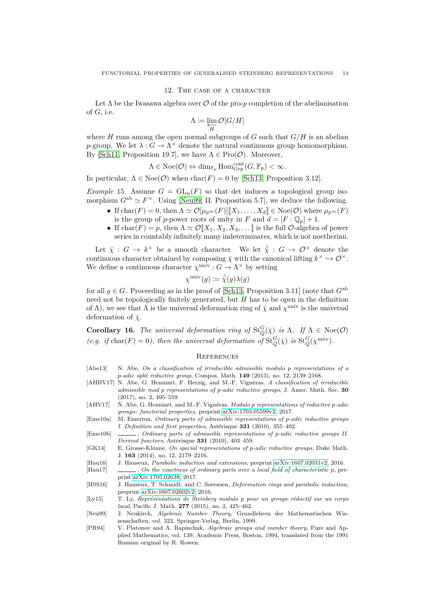## 12. The case of a character

Let  $\Lambda$  be the Iwasawa algebra over  $\mathcal O$  of the pro- $p$  completion of the abelianisation of *G*, i.e.

$$
\Lambda \coloneqq \varprojlim_{H} \mathcal{O}[G/H]
$$

where *H* runs among the open normal subgroups of *G* such that  $G/H$  is an abelian *p*-group. We let  $\lambda: G \to \Lambda^\times$  denote the natural continuous group homomorphism. By [\[Sch11,](#page-13-4) Proposition 19.7], we have  $\Lambda \in \text{Pro}(\mathcal{O})$ . Moreover,

$$
\Lambda \in \mathrm{Noe}(\mathcal{O}) \Leftrightarrow \dim_{\mathbb{F}_p} \mathrm{Hom}^{\mathrm{cont}}_{\mathrm{Grp}}(G, \mathbb{F}_p) < \infty.
$$

In particular,  $\Lambda \in \text{Noe}(\mathcal{O})$  when  $\text{char}(F) = 0$  by [\[Sch13,](#page-13-3) Proposition 3.12].

*Example* 15. Assume  $G = GL_n(F)$  so that det induces a topological group isomorphism  $G^{\text{ab}} \simeq F^{\times}$ . Using [\[Neu99,](#page-12-12) II. Proposition 5.7], we deduce the following.

- If  $char(F) = 0$ , then  $\Lambda \simeq \mathcal{O}[\mu_{p^{\infty}}(F)][X_1, \ldots, X_d] \in \text{Noe}(\mathcal{O})$  where  $\mu_{p^{\infty}}(F)$ is the group of *p*-power roots of unity in *F* and  $d = [F : \mathbb{Q}_p] + 1$ .
- If char(*F*) = *p*, then  $\Lambda \simeq \mathcal{O}[X_1, X_2, X_3, \dots]$  is the full  $\mathcal{O}$ -algebra of power series in countably infinitely many indeterminates, which is not noetherian.

Let  $\bar{\chi}: G \to k^{\times}$  be a smooth character. We let  $\hat{\bar{\chi}}: G \to \mathcal{O}^{\times}$  denote the continuous character obtained by composing  $\bar{\chi}$  with the canonical lifting  $k^{\times} \hookrightarrow \mathcal{O}^{\times}$ . We define a continuous character  $\chi^{\text{univ}}$  :  $G \to \Lambda^{\times}$  by setting

$$
\chi^{\text{univ}}(g) \coloneqq \hat{\bar{\chi}}(g)\lambda(g)
$$

for all  $g \in G$ . Proceeding as in the proof of [\[Sch13,](#page-13-3) Proposition 3.11] (note that  $G^{\text{ab}}$ need not be topologically finitely generated, but *H* has to be open in the definition of  $\Lambda$ ), we see that  $\Lambda$  is the universal deformation ring of  $\bar{\chi}$  and  $\chi^{\text{univ}}$  is the universal deformation of  $\bar{\chi}$ .

<span id="page-12-7"></span>**Corollary 16.** *The universal deformation ring of*  $St_Q^G(\bar{\chi})$  *is*  $\Lambda$ . *If*  $\Lambda \in \text{Noe}(\mathcal{O})$ *(e.g. if* char(*F*) = 0), then the universal deformation of  $\text{St}_{\bar{Q}}^G(\bar{\chi})$  is  $\text{St}_{\bar{Q}}^G(\chi^{\text{univ}})$ .

## **REFERENCES**

- <span id="page-12-9"></span>[Abe13] N. Abe, *On a classification of irreducible admissible modulo p representations of a p-adic split reductive group*, Compos. Math. **149** (2013), no. 12, 2139–2168.
- <span id="page-12-0"></span>[AHHV17] N. Abe, G. Henniart, F. Herzig, and M.-F. Vignéras, *A classification of irreducible admissible mod p representations of p-adic reductive groups*, J. Amer. Math. Soc. **30** (2017), no. 2, 495–559.
- <span id="page-12-6"></span>[AHV17] N. Abe, G. Henniart, and M.-F. Vignéras, *Modulo p representations of reductive p-adic groups: functorial properties*, preprint [arXiv:1703.05599v2,](https://arxiv.org/abs/1703.05599v2) 2017.
- <span id="page-12-10"></span>[Eme10a] M. Emerton, *Ordinary parts of admissible representations of p-adic reductive groups I. Definition and first properties*, Astérisque **331** (2010), 355–402.
- <span id="page-12-11"></span>[Eme10b]  $\qquad \qquad$ , *Ordinary parts of admissible representations of p-adic reductive groups II. Derived functors*, Astérisque **331** (2010), 403–459.
- <span id="page-12-4"></span>[GK14] E. Grosse-Klönne, *On special representations of p-adic reductive groups*, Duke Math. J. **163** (2014), no. 12, 2179–2216.
- <span id="page-12-1"></span>[Hau16] J. Hauseux, *Parabolic induction and extensions*, preprint [arXiv:1607.02031v2,](https://arxiv.org/abs/1607.02031v2) 2016.
- <span id="page-12-3"></span>[Hau17] , *On the exactness of ordinary parts over a local field of characteristic p*, preprint [arXiv:1705.02638,](https://arxiv.org/abs/1705.02638) 2017.
- <span id="page-12-2"></span>[HSS16] J. Hauseux, T. Schmidt, and C. Sorensen, *Deformation rings and parabolic induction*, preprint [arXiv:1607.02602v2,](https://arxiv.org/abs/1607.02602v2) 2016.
- <span id="page-12-5"></span>[Ly15] T. Ly, *Représentations de Steinberg modulo p pour un groupe réductif sur un corps local*, Pacific J. Math. **277** (2015), no. 2, 425–462.
- <span id="page-12-12"></span>[Neu99] J. Neukirch, *Algebraic Number Theory*, Grundlehren der Mathematischen Wissenschaften, vol. 322, Springer-Verlag, Berlin, 1999.
- <span id="page-12-8"></span>[PR94] V. Platonov and A. Rapinchuk, *Algebraic groups and number theory*, Pure and Applied Mathematics, vol. 139, Academic Press, Boston, 1994, translated from the 1991 Russian original by R. Rowen.